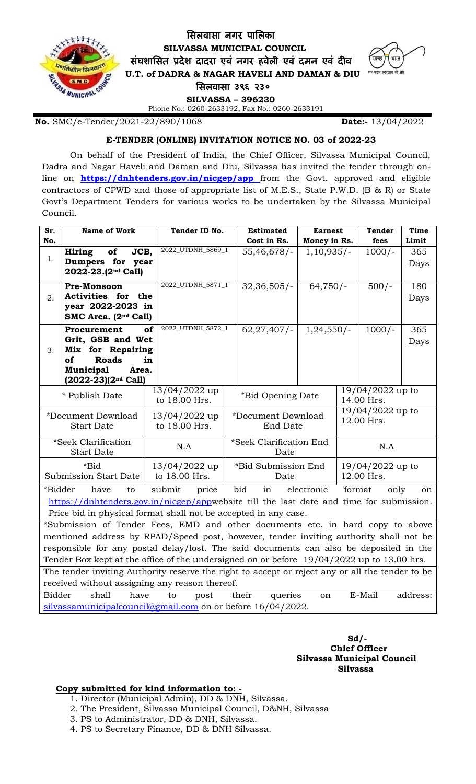

Phone No.: 0260-2633192, Fax No.: 0260-2633191

**No.** SMC/e-Tender/2021-22/890/1068 **Date:-** 13/04/2022

## **E-TENDER (ONLINE) INVITATION NOTICE NO. 03 of 2022-23**

On behalf of the President of India, the Chief Officer, Silvassa Municipal Council, Dadra and Nagar Haveli and Daman and Diu, Silvassa has invited the tender through online on **<https://dnhtenders.gov.in/nicgep/app>** from the Govt. approved and eligible contractors of CPWD and those of appropriate list of M.E.S., State P.W.D. (B & R) or State Govt's Department Tenders for various works to be undertaken by the Silvassa Municipal Council.

| Sr.                                                                                             | <b>Name of Work</b>                           | Tender ID No.     |  | <b>Estimated</b>               | <b>Earnest</b> |                  | <b>Tender</b> | Time     |
|-------------------------------------------------------------------------------------------------|-----------------------------------------------|-------------------|--|--------------------------------|----------------|------------------|---------------|----------|
| No.                                                                                             |                                               |                   |  | Cost in Rs.                    | Money in Rs.   |                  | fees          | Limit    |
|                                                                                                 | Hiring<br>JCB,<br>of                          | 2022_UTDNH_5869_1 |  | $55,46,678/-$                  | $1,10,935/-$   |                  | $1000/-$      | 365      |
| 1.                                                                                              | Dumpers for year                              |                   |  |                                |                |                  |               | Days     |
|                                                                                                 | 2022-23.(2 <sup>nd</sup> Call)                |                   |  |                                |                |                  |               |          |
|                                                                                                 | Pre-Monsoon                                   | 2022_UTDNH_5871_1 |  | $32,36,505/-$                  | $64,750/-$     |                  | $500/-$       | 180      |
| 2.                                                                                              | Activities for the                            |                   |  |                                |                |                  |               | Days     |
|                                                                                                 | year 2022-2023 in                             |                   |  |                                |                |                  |               |          |
|                                                                                                 | SMC Area. (2 <sup>nd</sup> Call)              |                   |  |                                |                |                  |               |          |
| of<br>Procurement                                                                               |                                               | 2022_UTDNH_5872_1 |  | $1,24,550/-$<br>$62,27,407/$ - |                |                  | $1000/-$      | 365      |
|                                                                                                 | Grit, GSB and Wet                             |                   |  |                                |                |                  |               | Days     |
| 3.                                                                                              | Mix for Repairing<br>of<br><b>Roads</b><br>in |                   |  |                                |                |                  |               |          |
|                                                                                                 | Municipal<br>Area.                            |                   |  |                                |                |                  |               |          |
|                                                                                                 | $(2022-23)(2^{nd}$ Call)                      |                   |  |                                |                |                  |               |          |
| * Publish Date                                                                                  |                                               | 13/04/2022 up     |  | *Bid Opening Date              |                | 19/04/2022 up to |               |          |
|                                                                                                 |                                               | to 18.00 Hrs.     |  |                                |                | 14.00 Hrs.       |               |          |
| *Document Download                                                                              |                                               | 13/04/2022 up     |  | *Document Download             |                | 19/04/2022 up to |               |          |
| <b>Start Date</b>                                                                               |                                               | to 18.00 Hrs.     |  | End Date                       |                | 12.00 Hrs.       |               |          |
| *Seek Clarification                                                                             |                                               | N.A               |  | *Seek Clarification End        |                | N.A              |               |          |
| <b>Start Date</b>                                                                               |                                               |                   |  | Date                           |                |                  |               |          |
| *Bid                                                                                            |                                               | 13/04/2022 up     |  | *Bid Submission End            |                | 19/04/2022 up to |               |          |
| <b>Submission Start Date</b>                                                                    |                                               | to 18.00 Hrs.     |  | Date                           |                | 12.00 Hrs.       |               |          |
| *Bidder<br>bid<br>in<br>format<br>submit<br>electronic<br>have<br>price<br>only<br>to<br>on     |                                               |                   |  |                                |                |                  |               |          |
| https://dnhtenders.gov.in/nicgep/appwebsite till the last date and time for submission.         |                                               |                   |  |                                |                |                  |               |          |
| Price bid in physical format shall not be accepted in any case.                                 |                                               |                   |  |                                |                |                  |               |          |
| *Submission of Tender Fees, EMD and other documents etc. in hard copy to above                  |                                               |                   |  |                                |                |                  |               |          |
| mentioned address by RPAD/Speed post, however, tender inviting authority shall not be           |                                               |                   |  |                                |                |                  |               |          |
| responsible for any postal delay/lost. The said documents can also be deposited in the          |                                               |                   |  |                                |                |                  |               |          |
| Tender Box kept at the office of the undersigned on or before 19/04/2022 up to 13.00 hrs.       |                                               |                   |  |                                |                |                  |               |          |
| The tender inviting Authority reserve the right to accept or reject any or all the tender to be |                                               |                   |  |                                |                |                  |               |          |
| received without assigning any reason thereof.                                                  |                                               |                   |  |                                |                |                  |               |          |
| <b>Bidder</b>                                                                                   | shall<br>have                                 | to<br>post        |  | their<br>queries               | on             |                  | E-Mail        | address: |
| silvassamunicipalcouncil@gmail.com on or before 16/04/2022.                                     |                                               |                   |  |                                |                |                  |               |          |

## **Sd/- Chief Officer Silvassa Municipal Council Silvassa**

## **Copy submitted for kind information to: -**

- 1. Director (Municipal Admin), DD & DNH, Silvassa.
- 2. The President, Silvassa Municipal Council, D&NH, Silvassa
- 3. PS to Administrator, DD & DNH, Silvassa.
- 4. PS to Secretary Finance, DD & DNH Silvassa.